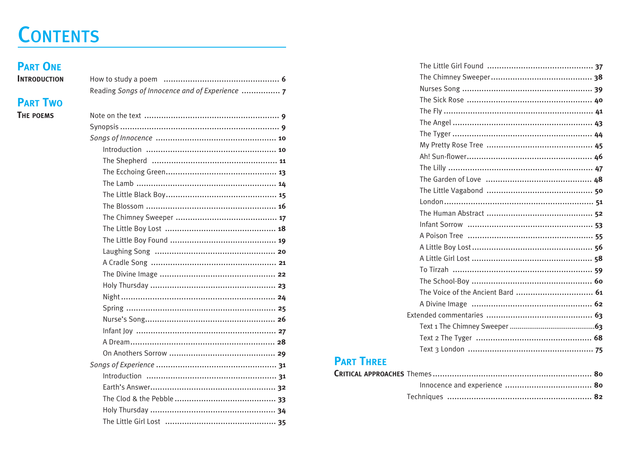# **CONTENTS**

## **PART ONE**

**INTRODUCTION** 

#### **PART TWO** THE POEMS

Reading Songs of Innocence and of Experience ................. 7

## **PART THREE**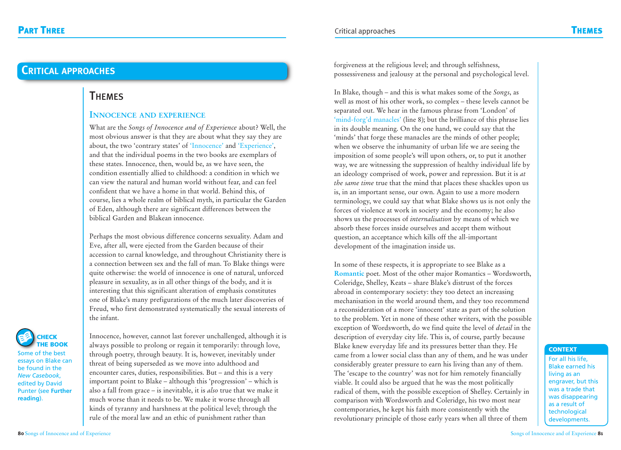### **CRITICAL APPROACHES**

#### **THEMES**

#### **INNOCENCE AND EXPERIENCE**

What are the *Songs of Innocence and of Experience* about? Well, the most obvious answer is that they are about what they say they are about, the two 'contrary states' of 'Innocence' and 'Experience', and that the individual poems in the two books are exemplars of these states. Innocence, then, would be, as we have seen, the condition essentially allied to childhood: a condition in which we can view the natural and human world without fear, and can feel confident that we have a home in that world. Behind this, of course, lies a whole realm of biblical myth, in particular the Garden of Eden, although there are significant differences between the biblical Garden and Blakean innocence.

Perhaps the most obvious difference concerns sexuality. Adam and Eve, after all, were ejected from the Garden because of their accession to carnal knowledge, and throughout Christianity there is a connection between sex and the fall of man. To Blake things were quite otherwise: the world of innocence is one of natural, unforced pleasure in sexuality, as in all other things of the body, and it is interesting that this significant alteration of emphasis constitutes one of Blake's many prefigurations of the much later discoveries of Freud, who first demonstrated systematically the sexual interests of the infant.

**CHECK HE BOOK** Some of the best essays on Blake can be found in the *New Casebook*, edited by David Punter (see **Further reading**).

Innocence, however, cannot last forever unchallenged, although it is always possible to prolong or regain it temporarily: through love, through poetry, through beauty. It is, however, inevitably under threat of being superseded as we move into adulthood and encounter cares, duties, responsibilities. But – and this is a very important point to Blake – although this 'progression' – which is also a fall from grace – is inevitable, it is *also* true that we make it much worse than it needs to be. We make it worse through all kinds of tyranny and harshness at the political level; through the rule of the moral law and an ethic of punishment rather than

forgiveness at the religious level; and through selfishness, possessiveness and jealousy at the personal and psychological level.

In Blake, though – and this is what makes some of the *Songs*, as well as most of his other work, so complex – these levels cannot be separated out. We hear in the famous phrase from 'London' of 'mind-forg'd manacles' (line 8); but the brilliance of this phrase lies in its double meaning. On the one hand, we could say that the 'minds' that forge these manacles are the minds of other people; when we observe the inhumanity of urban life we are seeing the imposition of some people's will upon others, or, to put it another way, we are witnessing the suppression of healthy individual life by an ideology comprised of work, power and repression. But it is *at the same time* true that the mind that places these shackles upon us is, in an important sense, our own. Again to use a more modern terminology, we could say that what Blake shows us is not only the forces of violence at work in society and the economy; he also shows us the processes of *internalisation* by means of which we absorb these forces inside ourselves and accept them without question, an acceptance which kills off the all-important development of the imagination inside us.

In some of these respects, it is appropriate to see Blake as a **Romantic** poet. Most of the other major Romantics – Wordsworth, Coleridge, Shelley, Keats – share Blake's distrust of the forces abroad in contemporary society: they too detect an increasing mechanisation in the world around them, and they too recommend a reconsideration of a more 'innocent' state as part of the solution to the problem. Yet in none of these other writers, with the possible exception of Wordsworth, do we find quite the level of *detail* in the description of everyday city life. This is, of course, partly because Blake knew everyday life and its pressures better than they. He came from a lower social class than any of them, and he was under considerably greater pressure to earn his living than any of them. The 'escape to the country' was not for him remotely financially viable. It could also be argued that he was the most politically radical of them, with the possible exception of Shelley. Certainly in comparison with Wordsworth and Coleridge, his two most near contemporaries, he kept his faith more consistently with the revolutionary principle of those early years when all three of them

#### **CONTEXT**

For all his life, Blake earned his living as an engraver, but this was a trade that was disappearing as a result of technological developments.